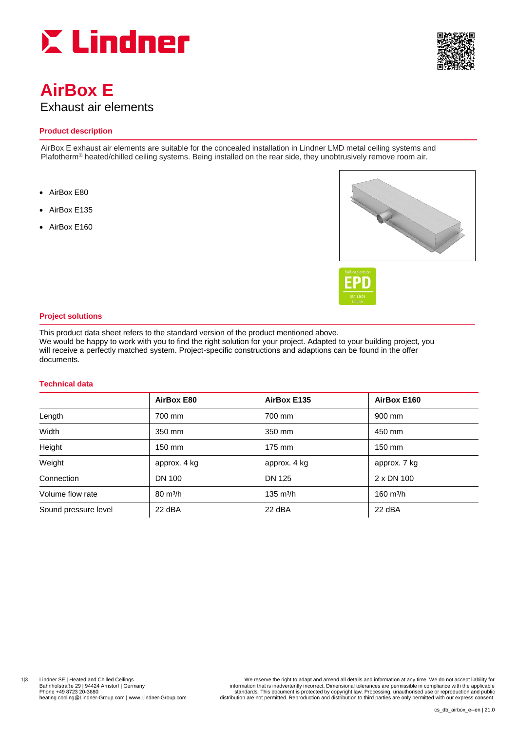



# **AirBox E** Exhaust air elements

### **Product description**

AirBox E exhaust air elements are suitable for the concealed installation in Lindner LMD metal ceiling systems and Plafotherm<sup>®</sup> heated/chilled ceiling systems. Being installed on the rear side, they unobtrusively remove room air.

- AirBox E80
- AirBox E135
- AirBox F160





#### **Project solutions**

This product data sheet refers to the standard version of the product mentioned above. We would be happy to work with you to find the right solution for your project. Adapted to your building project, you will receive a perfectly matched system. Project-specific constructions and adaptions can be found in the offer documents.

#### **Technical data**

|                      | AirBox E80          | AirBox E135         | AirBox E160         |
|----------------------|---------------------|---------------------|---------------------|
| Length               | 700 mm              | 700 mm              | 900 mm              |
| Width                | 350 mm              | 350 mm              | 450 mm              |
| Height               | 150 mm              | 175 mm              | $150 \text{ mm}$    |
| Weight               | approx. 4 kg        | approx. 4 kg        | approx. 7 kg        |
| Connection           | <b>DN 100</b>       | DN 125              | 2 x DN 100          |
| Volume flow rate     | $80 \text{ m}^3$ /h | $135 \text{ m}^3/h$ | $160 \text{ m}^3/h$ |
| Sound pressure level | 22 dBA              | 22 dBA              | 22 dBA              |

1|3 Lindner SE | Heated and Chilled Ceilings way the serve the right to adapt and amend all details and information at any time. We do not accept liability for UNIS CHILD NOT THE SERVER THE STATE OF THE STATE OF THE STATE Bahnhofstraße 29 | 94424 Arnstorf | Germany **information that is inadvertently incorrect**. Dimensional tolerances are permissible in compliance with the applicable<br>Phone +49 8723 20-3680 Phone +49 8723 20-3680 Phone +49 87 Phone +49 8723 20-3680 standards. This document is protected by copyright law. Processing, unauthorised use or reproduction and public<br>heating.cooling@Lindner-Group.com | www.Lindner-Group.com | distribution are not permit distribution are not permitted. Reproduction and distribution to third parties are only permitted with our express consent.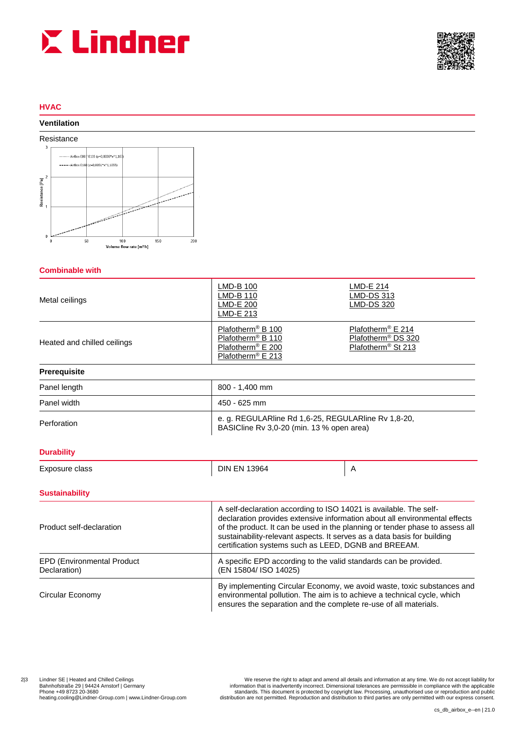



## **HVAC**

## **Ventilation**



#### **Combinable with**

| Metal ceilings              | LMD-B 100<br>LMD-B 110<br>LMD-E 200<br>LMD-E 213                                                                                 | LMD-E 214<br>LMD-DS 313<br><b>LMD-DS 320</b>                                                      |
|-----------------------------|----------------------------------------------------------------------------------------------------------------------------------|---------------------------------------------------------------------------------------------------|
| Heated and chilled ceilings | Plafotherm <sup>®</sup> B 100<br>Plafotherm <sup>®</sup> B 110<br>Plafotherm <sup>®</sup> E 200<br>Plafotherm <sup>®</sup> E 213 | Plafotherm <sup>®</sup> E 214<br>Plafotherm <sup>®</sup> DS 320<br>Plafotherm <sup>®</sup> St 213 |

#### **Prerequisite**

| Panel length | 800 - 1.400 mm                                                                                   |  |
|--------------|--------------------------------------------------------------------------------------------------|--|
| Panel width  | 450 - 625 mm                                                                                     |  |
| Perforation  | e. g. REGULARIine Rd 1,6-25, REGULARIine Rv 1,8-20,<br>BASICline Rv 3,0-20 (min. 13 % open area) |  |

## **Durability**

| Exposure class | 3964<br><b>DIN EN</b><br>$ -$ |  |
|----------------|-------------------------------|--|
|                |                               |  |

## **Sustainability**

| Product self-declaration                           | A self-declaration according to ISO 14021 is available. The self-<br>declaration provides extensive information about all environmental effects<br>of the product. It can be used in the planning or tender phase to assess all<br>sustainability-relevant aspects. It serves as a data basis for building<br>certification systems such as LEED, DGNB and BREEAM. |
|----------------------------------------------------|--------------------------------------------------------------------------------------------------------------------------------------------------------------------------------------------------------------------------------------------------------------------------------------------------------------------------------------------------------------------|
| <b>EPD (Environmental Product)</b><br>Declaration) | A specific EPD according to the valid standards can be provided.<br>(EN 15804/ ISO 14025)                                                                                                                                                                                                                                                                          |
| Circular Economy                                   | By implementing Circular Economy, we avoid waste, toxic substances and<br>environmental pollution. The aim is to achieve a technical cycle, which<br>ensures the separation and the complete re-use of all materials.                                                                                                                                              |

Lindner SE | Heated and Chilled Ceilings<br>Bahnhofstrander started and the information at any time. We reserve the right to adapt and amend all details and information at any time. We do not accept liability for<br>Bahnhofstran